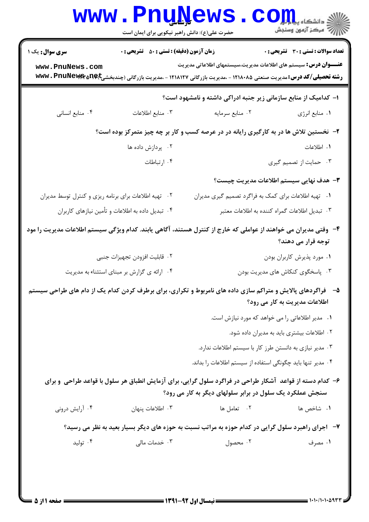| الله دانشگاه پیام برای C<br>الله عرکز آزمون وسنجش |                                                                                                                                                                                                               | <b>www.PnuNews</b><br>حضرت علی(ع): دانش راهبر نیکویی برای ایمان است |                                                      |
|---------------------------------------------------|---------------------------------------------------------------------------------------------------------------------------------------------------------------------------------------------------------------|---------------------------------------------------------------------|------------------------------------------------------|
| <b>تعداد سوالات : تستی : 30 ٪ تشریحی : 0</b>      |                                                                                                                                                                                                               | <b>زمان آزمون (دقیقه) : تستی : 50 ٪ تشریحی : 0</b>                  | <b>سری سوال :</b> یک ۱                               |
|                                                   | <b>عنــــوان درس:</b> سیستم های اطلاعات مدیریت،سیستمهای اطلاعاتی مدیریت<br><b>رشته تحصیلی/کد درس:</b> مدیریت صنعتی ۱۲۱۸۰۸۵ - ،مدیریت بازرگانی ۱۲۱۸۱۲۷ - ،مدیریت بازرگانی (چندبخشیD <b>e با www . PnuNewer</b> |                                                                     | www.PnuNews.com                                      |
|                                                   | ا- کدامیک از منابع سازمانی زیر جنبه ادراکی داشته و نامشهود است؟                                                                                                                                               |                                                                     |                                                      |
| ٠١ منابع انرژي                                    | ٠٢ منابع سرمايه                                                                                                                                                                                               | ٠٣ منابع اطلاعات                                                    | ۰۴ منابع انسانی                                      |
|                                                   | ۲- نخستین تلاش ها در به کارگیری رایانه در در عرصه کسب و کار بر چه چیز متمرکز بوده است؟                                                                                                                        |                                                                     |                                                      |
| ١. اطلاعات                                        |                                                                                                                                                                                                               | ۰۲ پردازش داده ها                                                   |                                                      |
| ۰۳ حمایت از تصمیم گیری                            |                                                                                                                                                                                                               | ۰۴ ارتباطات                                                         |                                                      |
| <b>۳</b> – هدف نهایی سیستم اطلاعات مدیریت چیست؟   |                                                                                                                                                                                                               |                                                                     |                                                      |
|                                                   | ۰۱ تهیه اطلاعات برای کمک به فراگرد تصمیم گیری مدیران                                                                                                                                                          |                                                                     | ۰۲ تهیه اطلاعات برای برنامه ریزی و کنترل توسط مدیران |
| ۰۳ تبدیل اطلاعات گمراه کننده به اطلاعات معتبر     |                                                                                                                                                                                                               | ۰۴ تبدیل داده به اطلاعات و تأمین نیازهای کاربران                    |                                                      |
| توجه قرار می دهند؟                                | ۴– وقتی مدیران می خواهند از عواملی که خارج از کنترل هستند، آگاهی یابند. کدام ویژگی سیستم اطلاعات مدیریت را مود                                                                                                |                                                                     |                                                      |
| ٠١ مورد پذيرش كاربران بودن                        |                                                                                                                                                                                                               | ٢.  قابليت افزودن تجهيزات جنبي                                      |                                                      |
| ۰۳ پاسخگوی کنکاش های مدیریت بودن                  |                                                                                                                                                                                                               | ۰۴ ارائه ی گزارش بر مبنای استثناء به مدیریت                         |                                                      |
| اطلاعات مدیریت به کار می رود؟                     | ۵– قراگردهای پالایش و متراکم سازی داده های نامربوط و تکراری، برای برطرف کردن کدام یک از دام های طراحی سیستم                                                                                                   |                                                                     |                                                      |
|                                                   | ۰۱ مدیر اطلاعاتی را می خواهد که مورد نیازش است.                                                                                                                                                               |                                                                     |                                                      |
| ۰۲ اطلاعات بیشتری باید به مدیران داده شود.        |                                                                                                                                                                                                               |                                                                     |                                                      |
|                                                   | ۰۳ مدیر نیازی به دانستن طرز کار با سیستم اطلاعات ندارد.                                                                                                                                                       |                                                                     |                                                      |
|                                                   | ۰۴ مدیر تنها باید چگونگی استفاده از سیستم اطلاعات را بداند.                                                                                                                                                   |                                                                     |                                                      |
|                                                   | ۶– کدام دسته از قواعد آشکار طراحی در فراگرد سلول گرایی، برای آزمایش انطباق هر سلول با قواعد طراحی و برای<br>سنجش عملکرد یک سلول در برابر سلولهای دیگر به کار می رود؟                                          |                                                                     |                                                      |
| ٠١. شاخص ها                                       | ۰۲ تعامل ها                                                                                                                                                                                                   | ۰۳ اطلاعات پنهان                                                    | ۰۴ آرایش درونی                                       |
|                                                   | ۷-۔ اجرای راهبرد سلول گرایی در کدام حوزه به مراتب نسبت به حوزه های دیگر بسیار بعید به نظر می رسید؟                                                                                                            |                                                                     |                                                      |
| ۰۱ مصرف                                           | ۰۲ محصول                                                                                                                                                                                                      | ۰۳ خدمات مالی                                                       | ۰۴ تولید                                             |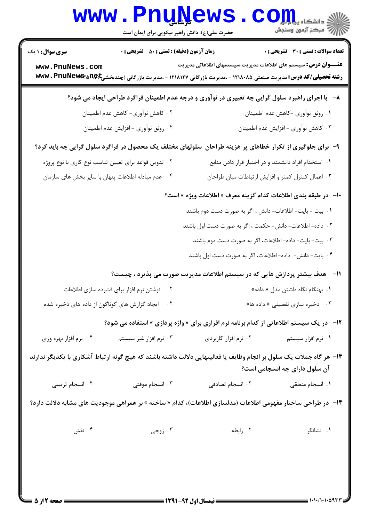|                                                                                                                | <b>www.PnuNews</b><br>حضرت علی(ع): دانش راهبر نیکویی برای ایمان است                                                                          |                                                                         | $\mathbf{1} \mathbf{O} \mathbf{m}$ و دانشڪاه پ<br>أآت مرکز آزمون وسنجش |  |
|----------------------------------------------------------------------------------------------------------------|----------------------------------------------------------------------------------------------------------------------------------------------|-------------------------------------------------------------------------|------------------------------------------------------------------------|--|
| <b>سری سوال : ۱ یک</b>                                                                                         | <b>زمان آزمون (دقیقه) : تستی : 50 ٪ تشریحی : 0</b>                                                                                           |                                                                         | <b>تعداد سوالات : تستی : 30 ٪ تشریحی : 0</b>                           |  |
| www.PnuNews.com                                                                                                | <b>رشته تحصیلی/کد درس: م</b> دیریت صنعتی ۱۲۱۸۰۸۵ - ،مدیریت بازرگانی ۱۲۱۸۱۲۷ - ،مدیریت بازرگانی (چندبخشیp <b>e)Cyte ، PruNews ، PruNews س</b> | <b>عنــــوان درس:</b> سیستم های اطلاعات مدیریت،سیستمهای اطلاعاتی مدیریت |                                                                        |  |
|                                                                                                                | ۸−۔ با اجرای راهبرد سلول گرایی چه تغییری در نوآوری و درجه عدم اطمینان فراگرد طراحی ایجاد می شود؟                                             |                                                                         |                                                                        |  |
|                                                                                                                | ۰۲ کاهش نوآوری- کاهش عدم اطمینان                                                                                                             |                                                                         | ٠١ رونق نوأوري -كاهش عدم اطمينان                                       |  |
|                                                                                                                | ۰۴ رونق نوأوري - افزايش عدم اطمينان                                                                                                          |                                                                         | ۰۳ کاهش نوآوری - افزایش عدم اطمینان                                    |  |
|                                                                                                                | ۹- برای جلوگیری از تکرار خطاهای پر هزینه طراحان ًسلولهای مختلف یک محصول در فراگرد سلول گرایی چه باید کرد؟                                    |                                                                         |                                                                        |  |
|                                                                                                                | ۰۲ تدوین قواعد برای تعیین تناسب نوع کاری با نوع پروژه                                                                                        | ٠١. استخدام افراد دانشمند و در اختيار قرار دادن منابع                   |                                                                        |  |
|                                                                                                                | ۰۴ عدم مبادله اطلاعات پنهان با سایر بخش های سازمان                                                                                           | ۰۳ اعمال کنترل کمتر و افزایش ارتباطات میان طراحان                       |                                                                        |  |
|                                                                                                                |                                                                                                                                              | ∙ا−  در طبقه بندی اطلاعات کدام گزینه معرف « اطلاعات ویژه » است؟         |                                                                        |  |
|                                                                                                                |                                                                                                                                              | ١. بيت - بايت- اطلاعات- دانش ، اگر به صورت دست دوم باشند                |                                                                        |  |
|                                                                                                                |                                                                                                                                              | ۰۲ داده- اطلاعات- دانش- حکمت ، اگر به صورت دست اول باشند                |                                                                        |  |
|                                                                                                                |                                                                                                                                              | ۰۳ بیت- بایت- داده- اطلاعات، اگر به صورت دست دوم باشند                  |                                                                        |  |
|                                                                                                                |                                                                                                                                              | ۰۴ بایت- دانش-  داده- اطلاعات، اگر به صورت دست اول باشند                |                                                                        |  |
|                                                                                                                | <b>۱۱</b> -    هدف بیشتر پردازش هایی که در سیستم اطلاعات مدیریت صورت می پذیرد ، چیست؟                                                        |                                                                         |                                                                        |  |
|                                                                                                                |                                                                                                                                              |                                                                         |                                                                        |  |
|                                                                                                                | ۰۴ ایجاد گزارش های گوناگون از داده های ذخیره شده                                                                                             |                                                                         | ۰۳ ذخیره سازی تفصیلی « داده ها»                                        |  |
|                                                                                                                | 1۲- در یک سیستم اطلاعاتی از کدام برنامه نرم افزاری برای « واژه پردازی » استفاده می شود؟                                                      |                                                                         |                                                                        |  |
| ۰۴ نرم افزار بهره وري                                                                                          | ۰۳ نرم افزار غیر سیستم                                                                                                                       | ۰۲ نرم افزار کاربردی                                                    | ۰۱ نرم افزار سیستم                                                     |  |
|                                                                                                                | ۱۳- هر گاه جملات یک سلول بر انجام وظایف یا فعالیتهایی دلالت داشته باشند که هیچ گونه ارتباط آشکاری با یکدیگر ندارند                           |                                                                         | آن سلول دارای چه انسجامی است؟                                          |  |
| ۰۴ انسجام ترتیبی                                                                                               | ۰۳ انسجام موقتی                                                                                                                              | ۰۲ انسجام تصادفی                                                        | ۰۱ انسجام منطقی                                                        |  |
| ۱۴-   در طراحی ساختار مفهومی اطلاعات (مدلسازی اطلاعات)، کدام « ساخته » بر همراهی موجودیت های مشابه دلالت دارد؟ |                                                                                                                                              |                                                                         |                                                                        |  |
| ۰۴ نقش                                                                                                         | ۰۳ زوجی $\cdot$                                                                                                                              | ۰۲ رابطه                                                                | ۰۱ نشانگر                                                              |  |
|                                                                                                                |                                                                                                                                              |                                                                         |                                                                        |  |
|                                                                                                                |                                                                                                                                              |                                                                         |                                                                        |  |
|                                                                                                                |                                                                                                                                              |                                                                         |                                                                        |  |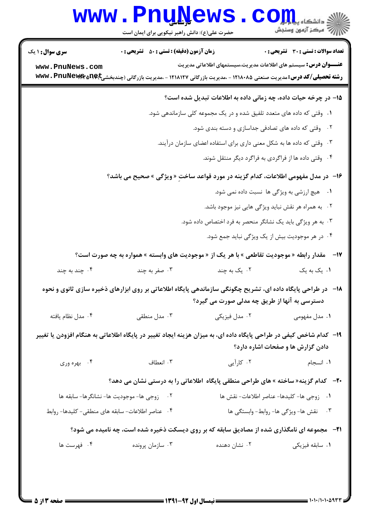|                        | <b>www.Pnukews</b><br>حضرت علی(ع): دانش راهبر نیکویی برای ایمان است                                                                  |                                                                         | اللا دانشگاه پیا بالوا<br>الله مرکز آزمهن وسنجش |
|------------------------|--------------------------------------------------------------------------------------------------------------------------------------|-------------------------------------------------------------------------|-------------------------------------------------|
| <b>سری سوال : ۱ یک</b> | <b>زمان آزمون (دقیقه) : تستی : 50 ٪ تشریحی : 0</b>                                                                                   |                                                                         | <b>تعداد سوالات : تستي : 30 ٪ تشريحي : 0</b>    |
| www.PnuNews.com        | <b>رشته تحصیلی/کد درس: م</b> دیریت صنعتی ۱۲۱۸۰۸۵ - ،مدیریت بازرگانی ۱۲۱۸۱۲۷ - ،مدیریت بازرگانی (چندبخشی <b>pe)C و www . PnuNewer</b> | <b>عنــــوان درس:</b> سیستم های اطلاعات مدیریت،سیستمهای اطلاعاتی مدیریت |                                                 |
|                        |                                                                                                                                      | ۱۵– در چرخه حیات داده، چه زمانی داده به اطلاعات تبدیل شده است؟          |                                                 |
|                        |                                                                                                                                      | ۰۱ وقتی که داده های متعدد تلفیق شده و در یک مجموعه کلی سازماندهی شود.   |                                                 |
|                        |                                                                                                                                      | ۰۲ وقتی که داده های تصادفی جداسازی و دسته بندی شود.                     |                                                 |
|                        |                                                                                                                                      | ۰۳ وقتی که داده ها به شکل معنی داری برای استفاده اعضای سازمان درآیند.   |                                                 |
|                        |                                                                                                                                      | ۰۴ وقتی داده ها از فراگردی به فراگرد دیگر منتقل شوند.                   |                                                 |
|                        | ۱۶- در مدل مفهومی اطلاعات، کدام گزینه در مورد قواعد ساختِ « ویژگی » صحیح می باشد؟                                                    |                                                                         |                                                 |
|                        |                                                                                                                                      |                                                                         | ۰۱ هیچ ارزشی به ویژگی ها نسبت داده نمی شود.     |
|                        |                                                                                                                                      | ۰۲ به همراه هر نقش نباید ویژگی هایی نیز موجود باشد.                     |                                                 |
|                        |                                                                                                                                      | ۰۳ به هر ویژگی باید یک نشانگر منحصر به فرد اختصاص داده شود.             |                                                 |
|                        |                                                                                                                                      |                                                                         | ۰۴ در هر موجودیت بیش از یک ویژگی نباید جمع شود. |
|                        | مقدار رابطه « موجودیت تقاطعی » با هر یک از « موجودیت های وابسته » همواره به چه صورت است؟                                             |                                                                         | $-14$                                           |
| ۰۴ چند به چند          | ۰۳ صفر به چند                                                                                                                        | ۰۲ یک به چند                                                            | ۰۱ یک به یک                                     |
|                        | ۱۸−۔ در طراحی پایگاه داده ای، تشریح چگونگی سازماندهی پایگاه اطلاعاتی بر روی ابزارهای ذخیره سازی ثانوی و نحوه                         | دسترسی به آنها از طریق چه مدلی صورت می گیرد؟                            |                                                 |
| ۰۴ مدل نظام یافته      | ۰۳ مدل منطقی                                                                                                                         |                                                                         |                                                 |
|                        | ۱۹– کدام شاخص کیفی در طراحی پایگاه داده ای، به میزان هزینه ایجاد تغییر در پایگاه اطلاعاتی به هنگام افزودن یا تغییر                   |                                                                         | دادن گزارش ها و صفحات اشاره دارد؟               |
| ۰۴ بهره وري            | ۰۳ انعطاف                                                                                                                            | ۲. کارآیی                                                               | ۰۱ انسجام                                       |
|                        | <b>۲۰</b> - کدام گزینه« ساخته » های طراحی منطقی پایگاه اطلاعاتی را به درستی نشان می دهد؟                                             |                                                                         |                                                 |
|                        | ٢. زوجي ها- موجوديت ها- نشانگرها- سابقه ها                                                                                           |                                                                         | · زوجى ها- كليدها- عناصر اطلاعات- نقش ها        |
|                        | ۰۴ عناصر اطلاعات- سابقه هاى منطقى- كليدها- روابط                                                                                     |                                                                         | ۰۳ نقش ها- ویژگی ها- روابط- وابستگی ها          |
|                        | <b>۲۱</b> -   مجموعه ای نامگذاری شده از مصادیق سابقه که بر روی دیسکت ذخیره شده است، چه نامیده می شود؟                                |                                                                         |                                                 |
| ۰۴ فهرست ها            | ۰۳ سازمان پرونده                                                                                                                     | ۰۲ نشان دهنده                                                           | ۰۱ سابقه فیزیکی                                 |
|                        |                                                                                                                                      |                                                                         |                                                 |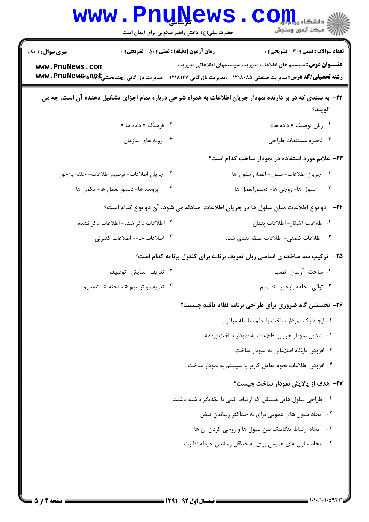| <b>WWW</b>                                | <b>LUAN!</b><br>حضرت علی(ع): دانش راهبر نیکویی برای ایمان است | د دانشکاه پ <b>یا ب<sup>ا</sup> ب<mark>و</mark></b><br>أأأآه مركز آزمون وسنجش                                                                                                                                                                                  |
|-------------------------------------------|---------------------------------------------------------------|----------------------------------------------------------------------------------------------------------------------------------------------------------------------------------------------------------------------------------------------------------------|
| <b>سری سوال : ۱ یک</b><br>www.PnuNews.com | <b>زمان آزمون (دقیقه) : تستی : 50 ٪ تشریحی : 0</b>            | <b>تعداد سوالات : تستی : 30 ٪ تشریحی : 0</b><br><b>عنــــوان درس:</b> سیستم های اطلاعات مدیریت،سیستمهای اطلاعاتی مدیریت<br><b>رشته تحصیلی/کد درس:</b> مدیریت صنعتی ۱۲۱۸۰۸۵ - ،مدیریت بازرگانی ۱۲۱۸۱۲۷ - ،مدیریت بازرگانی (چندبخشی <b>pe)C و www . PnuNewer</b> |
|                                           |                                                               | <b>۲۲</b> - به سندی که در بر دارنده نمودار جریان اطلاعات به همراه شرحی درباره تمام اجزای تشکیل دهنده آن است، چه می<br>گويند؟                                                                                                                                   |
|                                           | ۲. فرهنگ « داده ها »                                          | ۰۱ زبان توصیف « داده ها»                                                                                                                                                                                                                                       |
|                                           | ۰۴ رویه های سازمان                                            | ۰۳ ذخیره مستندات طراحی                                                                                                                                                                                                                                         |
|                                           |                                                               | ۲۳- علائم مورد استفاده در نمودار ساخت کدام است؟                                                                                                                                                                                                                |
|                                           | ٠٢ جريان اطلاعات- ترسيم اطلاعات- حلقه بازخور                  | ٠١ جريان اطلاعات- سلول- اتصال سلول ها                                                                                                                                                                                                                          |
|                                           | ۰۴ پرونده ها- دستورالعمل ها- مكمل ها                          | سلول ها- زوجي ها- دستورالعمل ها<br>$\cdot$ $\mathsf{r}$                                                                                                                                                                                                        |
|                                           |                                                               | ۲۴−۔ دو نوع اطلاعات میان سلول ها در جریان اطلاعات  مبادله می شود، آن دو نوع کدام است؟                                                                                                                                                                          |
|                                           | ۰۲ اطلاعات ذکر شده- اطلاعات ذکر نشده                          | ٠١ اطلاعات آشكار – اطلاعات پنهان                                                                                                                                                                                                                               |
|                                           | ۰۴ اطلاعات خام- اطلاعات كنترلى                                | ۰۳ اطلاعات ضمنی-اطلاعات طبقه بندی شده                                                                                                                                                                                                                          |
|                                           |                                                               | <b>۲۵</b> - ترکیب سه ساخته ی اساسی زبان تعریف برنامه برای کنترل برنامه کدام است؟                                                                                                                                                                               |
|                                           | ٠٢ تعريف- نمايش- توصيف                                        | ٠١ ساخت- آزمون- نصب                                                                                                                                                                                                                                            |
|                                           | ۰۴ تعریف و ترسیم « ساخته »- تصمیم                             | ۰۳ توالی- حلقه بازخور- تصمیم                                                                                                                                                                                                                                   |
|                                           |                                                               | ۲۶- نخستین گام ضروری برای طراحی برنامه نظام یافته چیست؟                                                                                                                                                                                                        |
|                                           |                                                               | ۰۱ ایجاد یک نمودار ساخت با نظم سلسله مراتبی                                                                                                                                                                                                                    |
|                                           |                                                               | ۰۲ تبدیل نمودار جریان اطلاعات به نمودار ساخت برنامه                                                                                                                                                                                                            |
|                                           |                                                               | ۰۳ افزودن پایگاه اطلاعاتی به نمودار ساخت                                                                                                                                                                                                                       |
|                                           |                                                               | ۰۴ افزودن اطلاعات نحوه تعامل كاربر با سيستم به نمودار ساخت                                                                                                                                                                                                     |
|                                           |                                                               | ٢٧- هدف از پالايش نمودار ساخت چيست؟                                                                                                                                                                                                                            |
|                                           |                                                               | ۰۱ طراحی سلول هایی مستقل که ارتباط کمی با یکدیگر داشته باشند.                                                                                                                                                                                                  |
|                                           |                                                               | ۰۲ ایجاد سلول های عمومی برای به حداکثر رساندن قبض                                                                                                                                                                                                              |
|                                           |                                                               | ۰۳ ایجاد ارتباط تنگاتنگ بین سلول ها و زوجی کردن آن ها                                                                                                                                                                                                          |
|                                           |                                                               | ۰۴ ایجاد سلول های عمومی برای به حداقل رساندن حیطه نظارت                                                                                                                                                                                                        |
|                                           |                                                               |                                                                                                                                                                                                                                                                |

۳.